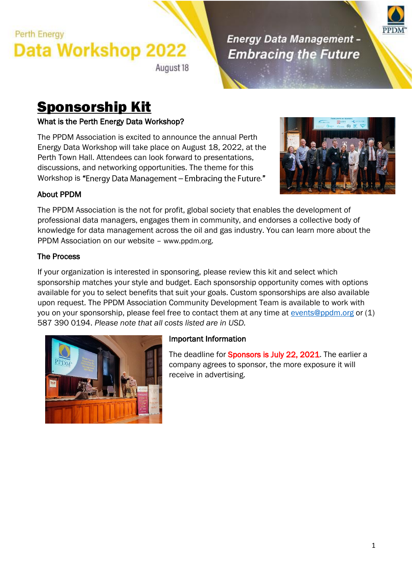August 18

### **Energy Data Management -Embracing the Future**



# Sponsorship Kit

### What is the Perth Energy Data Workshop?

The PPDM Association is excited to announce the annual Perth Energy Data Workshop will take place on August 18, 2022, at the Perth Town Hall. Attendees can look forward to presentations, discussions, and networking opportunities. The theme for this Workshop is "Energy Data Management - Embracing the Future."



### About PPDM

The PPDM Association is the not for profit, global society that enables the development of professional data managers, engages them in community, and endorses a collective body of knowledge for data management across the oil and gas industry. You can learn more about the PPDM Association on our website – [www.ppdm.org](http://www.ppdm.org/).

#### The Process

If your organization is interested in sponsoring, please review this kit and select which sponsorship matches your style and budget. Each sponsorship opportunity comes with options available for you to select benefits that suit your goals. Custom sponsorships are also available upon request. The PPDM Association Community Development Team is available to work with you on your sponsorship, please feel free to contact them at any time at [events@ppdm.org](mailto:events@ppdm.org) or (1) 587 390 0194. *Please note that all costs listed are in USD.*



### Important Information

The deadline for **Sponsors is July 22, 2021**. The earlier a company agrees to sponsor, the more exposure it will receive in advertising.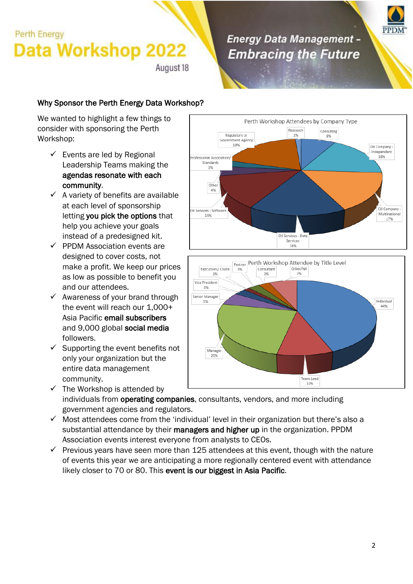August 18

### **Energy Data Management -Embracing the Future**



### Why Sponsor the Perth Energy Data Workshop?

We wanted to highlight a few things to consider with sponsoring the Perth Workshop:

- $\checkmark$  Events are led by Regional Leadership Teams making the agendas resonate with each community.
- $\checkmark$  A variety of benefits are available at each level of sponsorship letting you pick the options that help you achieve your goals instead of a predesigned kit.
- $\checkmark$  PPDM Association events are designed to cover costs, not make a profit. We keep our prices as low as possible to benefit you and our attendees.
- $\checkmark$  Awareness of your brand through the event will reach our 1,000+ Asia Pacific email subscribers and 9,000 global social media followers.
- $\checkmark$  Supporting the event benefits not only your organization but the entire data management community.
- 10%  $\checkmark$  The Workshop is attended by individuals from operating companies, consultants, vendors, and more including government agencies and regulators.
- $\checkmark$  Most attendees come from the 'individual' level in their organization but there's also a substantial attendance by their managers and higher up in the organization. PPDM Association events interest everyone from analysts to CEOs.
- $\checkmark$  Previous years have seen more than 125 attendees at this event, though with the nature of events this year we are anticipating a more regionally centered event with attendance likely closer to 70 or 80. This event is our biggest in Asia Pacific.



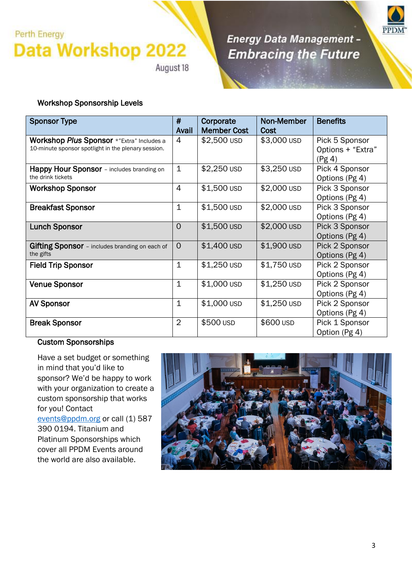August 18

Energy Data Management -**Embracing the Future** 



#### Workshop Sponsorship Levels

| <b>Sponsor Type</b>                                                                              | #<br>Avail     | Corporate<br><b>Member Cost</b> | Non-Member<br>Cost | <b>Benefits</b>                               |
|--------------------------------------------------------------------------------------------------|----------------|---------------------------------|--------------------|-----------------------------------------------|
| Workshop Plus Sponsor *"Extra" Includes a<br>10-minute sponsor spotlight in the plenary session. | 4              | \$2,500 USD                     | \$3,000 USD        | Pick 5 Sponsor<br>Options + "Extra"<br>(Pg 4) |
| Happy Hour Sponsor - includes branding on<br>the drink tickets                                   | $\mathbf 1$    | \$2,250 USD                     | \$3,250 USD        | Pick 4 Sponsor<br>Options (Pg 4)              |
| <b>Workshop Sponsor</b>                                                                          | 4              | \$1,500 USD                     | \$2,000 USD        | Pick 3 Sponsor<br>Options (Pg 4)              |
| <b>Breakfast Sponsor</b>                                                                         | $\mathbf{1}$   | \$1,500 USD                     | \$2,000 USD        | Pick 3 Sponsor<br>Options (Pg 4)              |
| <b>Lunch Sponsor</b>                                                                             | 0              | \$1,500 USD                     | \$2,000 USD        | Pick 3 Sponsor<br>Options (Pg 4)              |
| <b>Gifting Sponsor</b> - includes branding on each of<br>the gifts                               | $\Omega$       | \$1,400 USD                     | \$1,900 USD        | Pick 2 Sponsor<br>Options (Pg 4)              |
| <b>Field Trip Sponsor</b>                                                                        | $\mathbf{1}$   | \$1,250 USD                     | \$1,750 USD        | Pick 2 Sponsor<br>Options (Pg 4)              |
| <b>Venue Sponsor</b>                                                                             | $\mathbf{1}$   | \$1,000 USD                     | \$1,250 USD        | Pick 2 Sponsor<br>Options (Pg 4)              |
| <b>AV Sponsor</b>                                                                                | $\mathbf{1}$   | \$1,000 USD                     | \$1,250 USD        | Pick 2 Sponsor<br>Options (Pg 4)              |
| <b>Break Sponsor</b>                                                                             | $\overline{2}$ | \$500 USD                       | \$600 USD          | Pick 1 Sponsor<br>Option (Pg 4)               |

#### Custom Sponsorships

Have a set budget or something in mind that you'd like to sponsor? We'd be happy to work with your organization to create a custom sponsorship that works for you! Contact [events@ppdm.org](mailto:events@ppdm.org) or call (1) 587 390 0194. Titanium and Platinum Sponsorships which cover all PPDM Events around the world are also available.